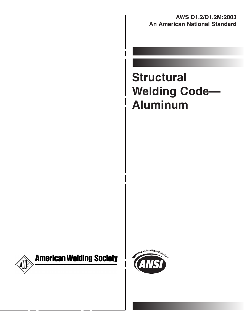**AWS D1.2/D1.2M:2003 An American National Standard**

# **Structural Welding Code— Aluminum**





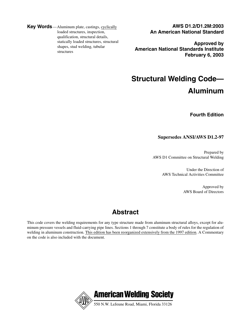**Key Words**—Aluminum plate, castings, cyclically loaded structures, inspection, qualification, structural details, statically loaded structures, structural shapes, stud welding, tubular structures

**AWS D1.2/D1.2M:2003 An American National Standard**

**Approved by American National Standards Institute February 6, 2003**

## **Structural Welding Code— Aluminum**

**Fourth Edition**

### **Supersedes ANSI/AWS D1.2-97**

Prepared by AWS D1 Committee on Structural Welding

> Under the Direction of AWS Technical Activities Committee

> > Approved by AWS Board of Directors

## **Abstract**

This code covers the welding requirements for any type structure made from aluminum structural alloys, except for aluminum pressure vessels and fluid-carrying pipe lines. Sections 1 through 7 constitute a body of rules for the regulation of welding in aluminum construction. This edition has been reorganized extensively from the 1997 edition. A Commentary on the code is also included with the document.

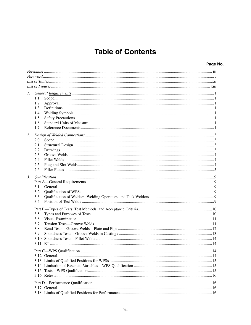## **Table of Contents**

| 1. |            |  |  |  |
|----|------------|--|--|--|
|    | 1.1        |  |  |  |
|    | 1.2<br>1.3 |  |  |  |
|    | 1.4        |  |  |  |
|    | 1.5        |  |  |  |
|    | 1.6        |  |  |  |
|    | 1.7        |  |  |  |
| 2. |            |  |  |  |
|    | 2.0        |  |  |  |
|    | 2.1        |  |  |  |
|    | 2.2        |  |  |  |
|    | 2.3        |  |  |  |
|    | 2.4        |  |  |  |
|    | 2.5        |  |  |  |
|    | 2.6        |  |  |  |
| 3. |            |  |  |  |
|    |            |  |  |  |
|    | 3.1        |  |  |  |
|    | 3.2        |  |  |  |
|    | 3.3        |  |  |  |
|    | 3.4        |  |  |  |
|    |            |  |  |  |
|    | 3.5        |  |  |  |
|    | 3.6        |  |  |  |
|    | 3.7        |  |  |  |
|    | 3.8        |  |  |  |
|    | 3.9        |  |  |  |
|    |            |  |  |  |
|    |            |  |  |  |
|    |            |  |  |  |
|    |            |  |  |  |
|    |            |  |  |  |
|    |            |  |  |  |
|    |            |  |  |  |
|    |            |  |  |  |
|    |            |  |  |  |
|    |            |  |  |  |
|    |            |  |  |  |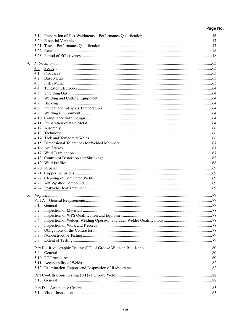| 4. |     |  |
|----|-----|--|
|    | 4.0 |  |
|    | 4.1 |  |
|    | 4.2 |  |
|    | 4.3 |  |
|    | 4.4 |  |
|    | 4.5 |  |
|    | 4.6 |  |
|    | 4.7 |  |
|    | 4.8 |  |
|    | 4.9 |  |
|    |     |  |
|    |     |  |
|    |     |  |
|    |     |  |
|    |     |  |
|    |     |  |
|    |     |  |
|    |     |  |
|    |     |  |
|    |     |  |
|    |     |  |
|    |     |  |
|    |     |  |
|    |     |  |
|    |     |  |
|    |     |  |
| 5. |     |  |
|    |     |  |
|    | 5.1 |  |
|    | 5.2 |  |
|    | 5.3 |  |
|    | 5.4 |  |
|    | 5.5 |  |
|    | 5.6 |  |
|    | 5.7 |  |
|    | 5.8 |  |
|    |     |  |
|    | 5.9 |  |
|    |     |  |
|    |     |  |
|    |     |  |
|    |     |  |
|    |     |  |
|    |     |  |
|    |     |  |
|    |     |  |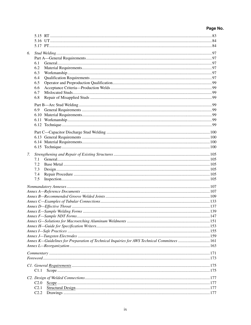| 6. |                                                                                            |  |  |  |
|----|--------------------------------------------------------------------------------------------|--|--|--|
|    |                                                                                            |  |  |  |
|    | 6.1                                                                                        |  |  |  |
|    | 6.2                                                                                        |  |  |  |
|    | 6.3                                                                                        |  |  |  |
|    | 6.4                                                                                        |  |  |  |
|    | 6.5                                                                                        |  |  |  |
|    | 6.6                                                                                        |  |  |  |
|    | 6.7                                                                                        |  |  |  |
|    | 6.8                                                                                        |  |  |  |
|    |                                                                                            |  |  |  |
|    |                                                                                            |  |  |  |
|    | 6.9                                                                                        |  |  |  |
|    |                                                                                            |  |  |  |
|    |                                                                                            |  |  |  |
|    |                                                                                            |  |  |  |
|    |                                                                                            |  |  |  |
|    |                                                                                            |  |  |  |
|    |                                                                                            |  |  |  |
|    |                                                                                            |  |  |  |
| 7. |                                                                                            |  |  |  |
|    | 7.1                                                                                        |  |  |  |
|    | 7.2                                                                                        |  |  |  |
|    | 7.3                                                                                        |  |  |  |
|    | 7.4                                                                                        |  |  |  |
|    | 7.5                                                                                        |  |  |  |
|    |                                                                                            |  |  |  |
|    |                                                                                            |  |  |  |
|    |                                                                                            |  |  |  |
|    |                                                                                            |  |  |  |
|    |                                                                                            |  |  |  |
|    |                                                                                            |  |  |  |
|    |                                                                                            |  |  |  |
|    |                                                                                            |  |  |  |
|    |                                                                                            |  |  |  |
|    |                                                                                            |  |  |  |
|    |                                                                                            |  |  |  |
|    | Annex K—Guidelines for Preparation of Technical Inquiries for AWS Technical Committees 161 |  |  |  |
|    |                                                                                            |  |  |  |
|    |                                                                                            |  |  |  |
|    |                                                                                            |  |  |  |
|    |                                                                                            |  |  |  |
|    |                                                                                            |  |  |  |
|    | C1.1                                                                                       |  |  |  |
|    |                                                                                            |  |  |  |
|    |                                                                                            |  |  |  |
|    | C <sub>2.0</sub>                                                                           |  |  |  |
|    | C <sub>2.1</sub>                                                                           |  |  |  |
|    | C2.2                                                                                       |  |  |  |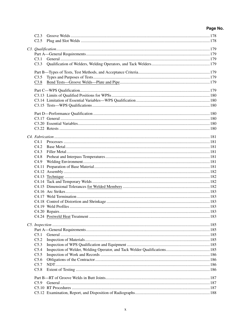| C2.3             |  |
|------------------|--|
| C <sub>2.5</sub> |  |
|                  |  |
|                  |  |
|                  |  |
| C3.1             |  |
| C3.3             |  |
|                  |  |
| C3.5             |  |
| C3.8             |  |
|                  |  |
|                  |  |
|                  |  |
|                  |  |
|                  |  |
|                  |  |
|                  |  |
|                  |  |
|                  |  |
|                  |  |
|                  |  |
| C4.1             |  |
| C4.2             |  |
| C4.3             |  |
| C4.8             |  |
| C4.9             |  |
|                  |  |
|                  |  |
|                  |  |
|                  |  |
|                  |  |
|                  |  |
|                  |  |
|                  |  |
|                  |  |
|                  |  |
|                  |  |
|                  |  |
|                  |  |
|                  |  |
| C <sub>5.1</sub> |  |
| C5.2             |  |
| C5.3             |  |
| C5.4             |  |
| C5.5             |  |
| C5.6             |  |
| C5.7             |  |
| C5.8             |  |
|                  |  |
|                  |  |
| C5.9             |  |
|                  |  |
|                  |  |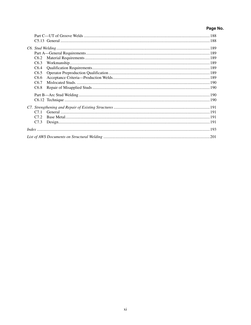| C6.2             |  |  |  |
|------------------|--|--|--|
| C6.3             |  |  |  |
| C6.4             |  |  |  |
| C6.5             |  |  |  |
| C <sub>6.6</sub> |  |  |  |
| C6.7             |  |  |  |
| C6.8             |  |  |  |
|                  |  |  |  |
|                  |  |  |  |
|                  |  |  |  |
| C <sub>71</sub>  |  |  |  |
| C22              |  |  |  |
| C <sub>7.3</sub> |  |  |  |
|                  |  |  |  |
|                  |  |  |  |
|                  |  |  |  |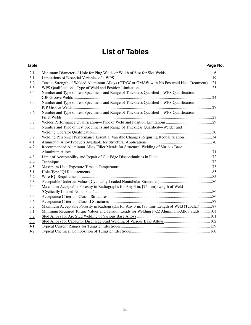## **List of Tables**

### **Table Page No.**

| 2.1   |                                                                                             |  |
|-------|---------------------------------------------------------------------------------------------|--|
| 3.1   |                                                                                             |  |
| 3.2   | Tensile Strength of Welded Aluminum Alloys (GTAW or GMAW with No Postweld Heat Treatment)21 |  |
| 3.3   |                                                                                             |  |
| 3.4   | Number and Type of Test Specimens and Range of Thickness Qualified-WPS Qualification-       |  |
|       |                                                                                             |  |
| 3.5   | Number and Type of Test Specimens and Range of Thickness Qualified-WPS Qualification-       |  |
|       |                                                                                             |  |
| 3.6   | Number and Type of Test Specimens and Range of Thickness Qualified—WPS Qualification—       |  |
|       |                                                                                             |  |
| 3.7   |                                                                                             |  |
| 3.8   | Number and Type of Test Specimens and Range of Thickness Qualified—Welder and               |  |
|       |                                                                                             |  |
| 3.9   | Welding Personnel Performance Essential Variable Changes Requiring Requalification 34       |  |
| 4.1   |                                                                                             |  |
| 4.2   | Recommended Aluminum Alloy Filler Metals for Structural Welding of Various Base             |  |
|       |                                                                                             |  |
| 4.3   |                                                                                             |  |
| 4.4   |                                                                                             |  |
| 4.5   |                                                                                             |  |
| 5.1   |                                                                                             |  |
| 5.2   |                                                                                             |  |
| 5.3   |                                                                                             |  |
| 5.4   | Maximum Acceptable Porosity in Radiographs for Any 3 in. [75 mm] Length of Weld             |  |
|       |                                                                                             |  |
| 5.5   |                                                                                             |  |
| 5.6   |                                                                                             |  |
| 5.7   | Maximum Acceptable Porosity in Radiographs for Any 3 in. [75 mm] Length of Weld (Tubular)87 |  |
| 6.1   | Minimum Required Torque Values and Tension Loads for Welding F-22 Aluminum-Alloy Studs 101  |  |
| 6.2   |                                                                                             |  |
| 6.3   |                                                                                             |  |
| $J-1$ |                                                                                             |  |
| $J-2$ |                                                                                             |  |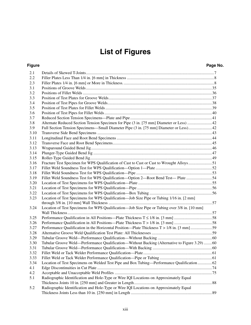## **List of Figures**

### **Figure Page No.**

| 2.2<br>2.3<br>3.1<br>3.2<br>3.3                                                                       |  |
|-------------------------------------------------------------------------------------------------------|--|
|                                                                                                       |  |
|                                                                                                       |  |
|                                                                                                       |  |
|                                                                                                       |  |
|                                                                                                       |  |
| 3.4                                                                                                   |  |
| 3.5                                                                                                   |  |
| 3.6                                                                                                   |  |
| 3.7                                                                                                   |  |
| 3.8                                                                                                   |  |
| 3.9                                                                                                   |  |
| 3.10                                                                                                  |  |
| 3.11                                                                                                  |  |
| 3.12                                                                                                  |  |
| 3.13                                                                                                  |  |
| 3.14                                                                                                  |  |
| 3.15                                                                                                  |  |
| Fracture Test Specimen for WPS Qualification of Cast to Cast or Cast to Wrought Alloys 51<br>3.16     |  |
| 3.17                                                                                                  |  |
| 3.18                                                                                                  |  |
| Fillet Weld Soundness Test for WPS Qualification—Option 2—Root Bend Test— Plate  54<br>3.19           |  |
| 3.20                                                                                                  |  |
| 3.21                                                                                                  |  |
| 3.22                                                                                                  |  |
| Location of Test Specimens for WPS Qualification—Job Size Pipe or Tubing 1/16 in. [2 mm]<br>3.23      |  |
|                                                                                                       |  |
| Location of Test Specimens for WPS Qualification—Job Size Pipe or Tubing over 3/8 in. [10 mm]<br>3.24 |  |
| 3.25                                                                                                  |  |
| 3.26                                                                                                  |  |
| 3.27                                                                                                  |  |
| 3.28                                                                                                  |  |
| 3.29                                                                                                  |  |
| Tubular Groove Weld—Performance Qualification—Without Backing (Alternative to Figure 3.29) 60<br>3.30 |  |
| 3.31                                                                                                  |  |
| 3.32                                                                                                  |  |
| 3.33                                                                                                  |  |
| Location of Test Specimens on Welded Test Pipe and Box Tubing—Performance Qualification 62<br>3.34    |  |
| 4.1                                                                                                   |  |
| 4.2                                                                                                   |  |
| Radiographic Identification and Hole-Type or Wire IQI Locations on Approximately Equal<br>5.1         |  |
|                                                                                                       |  |
| Radiographic Identification and Hole-Type or Wire IQI Locations on Approximately Equal<br>5.2         |  |
|                                                                                                       |  |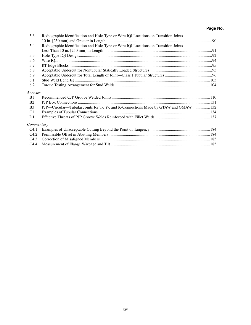| 5.3              | Radiographic Identification and Hole-Type or Wire IQI Locations on Transition Joints |  |
|------------------|--------------------------------------------------------------------------------------|--|
|                  |                                                                                      |  |
| 5.4              | Radiographic Identification and Hole-Type or Wire IQI Locations on Transition Joints |  |
|                  |                                                                                      |  |
| 5.5              |                                                                                      |  |
| 5.6              |                                                                                      |  |
| 5.7              |                                                                                      |  |
| 5.8              |                                                                                      |  |
| 5.9              |                                                                                      |  |
| 6.1              |                                                                                      |  |
| 6.2              |                                                                                      |  |
| Annexes          |                                                                                      |  |
| B <sub>1</sub>   |                                                                                      |  |
| <b>B2</b>        |                                                                                      |  |
| B <sub>3</sub>   | PJP—Circular—Tubular Joints for T-, Y-, and K-Connections Made by GTAW and GMAW  132 |  |
| C <sub>1</sub>   |                                                                                      |  |
| D <sub>1</sub>   |                                                                                      |  |
| Commentary       |                                                                                      |  |
| C <sub>4.1</sub> |                                                                                      |  |
| C4.2             |                                                                                      |  |
| C4.3             |                                                                                      |  |
| C4.4             |                                                                                      |  |